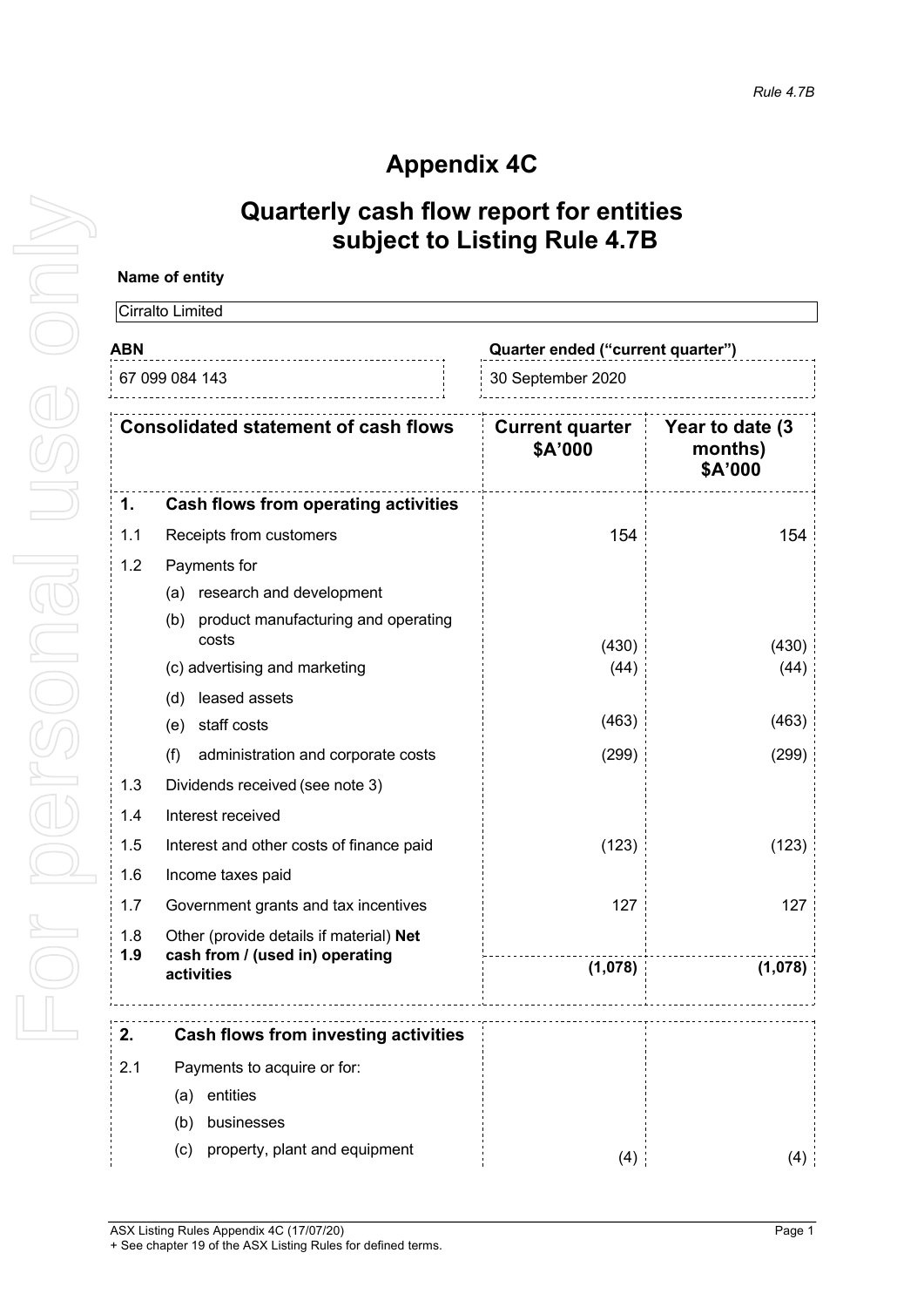# **Appendix 4C**

## **Quarterly cash flow report for entities subject to Listing Rule 4.7B**

### **Name of entity**

|                                                               | Cirralto Limited                                  |                                   |                                       |
|---------------------------------------------------------------|---------------------------------------------------|-----------------------------------|---------------------------------------|
| ABN                                                           |                                                   | Quarter ended ("current quarter") |                                       |
| 67 099 084 143<br><b>Consolidated statement of cash flows</b> |                                                   | 30 September 2020                 |                                       |
|                                                               |                                                   | <b>Current quarter</b><br>\$A'000 | Year to date (3<br>months)<br>\$A'000 |
| 1.                                                            | <b>Cash flows from operating activities</b>       |                                   |                                       |
| 1.1                                                           | Receipts from customers                           | 154                               | 154                                   |
| 1.2                                                           | Payments for                                      |                                   |                                       |
|                                                               | research and development<br>(a)                   |                                   |                                       |
|                                                               | (b) product manufacturing and operating<br>costs  | (430)                             | (430)                                 |
|                                                               | (c) advertising and marketing                     | (44)                              | (44)                                  |
|                                                               | leased assets<br>(d)                              |                                   |                                       |
|                                                               | staff costs<br>(e)                                | (463)                             | (463)                                 |
|                                                               | (f)<br>administration and corporate costs         | (299)                             | (299)                                 |
| 1.3                                                           | Dividends received (see note 3)                   |                                   |                                       |
| 1.4                                                           | Interest received                                 |                                   |                                       |
| 1.5                                                           | (123)<br>Interest and other costs of finance paid |                                   | (123)                                 |
| 1.6                                                           | Income taxes paid                                 |                                   |                                       |
| 1.7                                                           | Government grants and tax incentives              |                                   | 127                                   |
| 1.8                                                           | Other (provide details if material) Net           |                                   |                                       |
| 1.9                                                           | cash from / (used in) operating<br>activities     | (1,078)                           | (1,078)                               |
|                                                               |                                                   |                                   |                                       |
| 2.                                                            | <b>Cash flows from investing activities</b>       |                                   |                                       |
| 2.1                                                           | Payments to acquire or for:                       |                                   |                                       |
|                                                               | (a) entities                                      |                                   |                                       |
|                                                               | businesses<br>(b)                                 |                                   |                                       |
|                                                               | property, plant and equipment<br>(c)              | (4)                               | (4)                                   |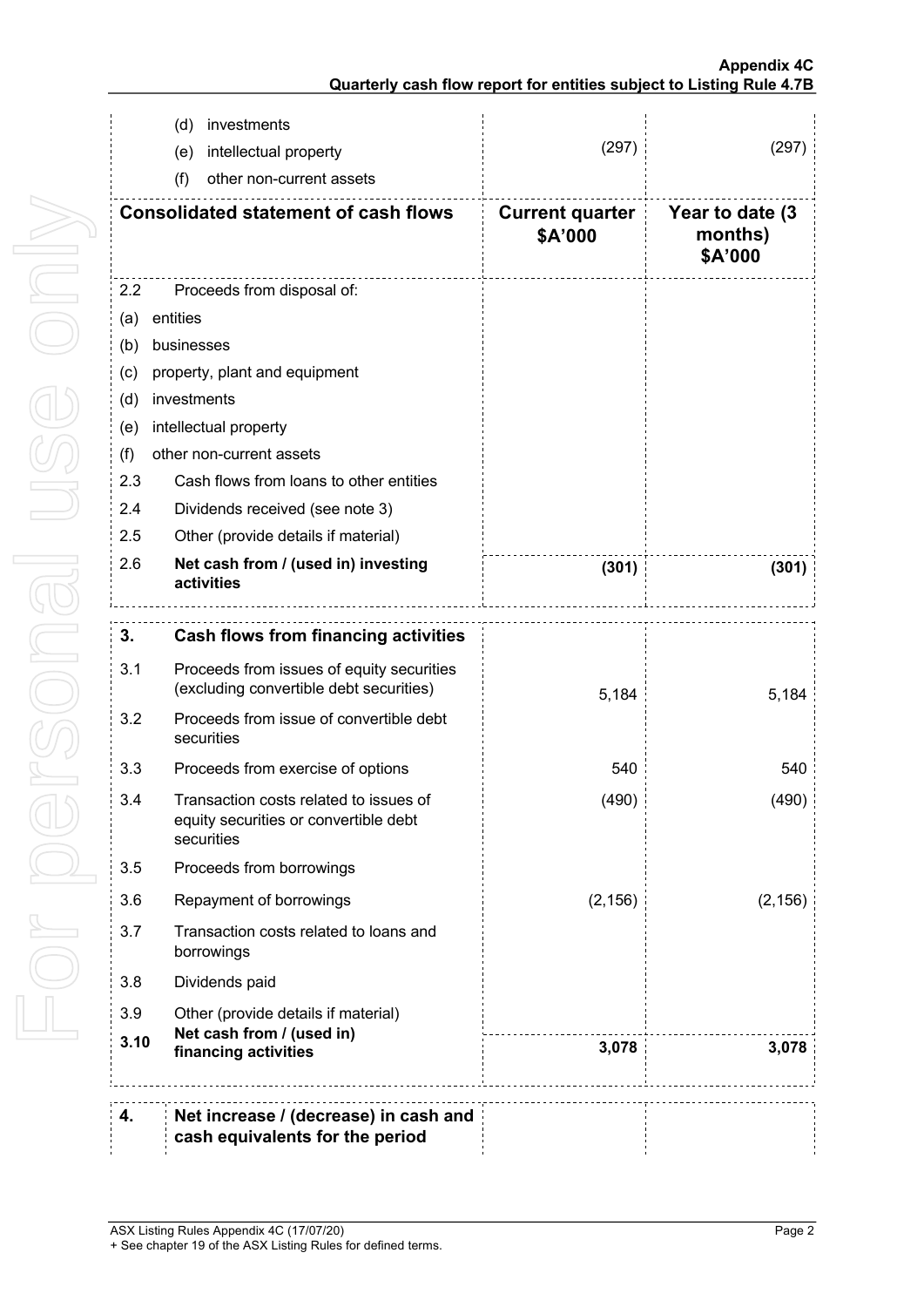|      | investments<br>(d)                                                                            |                                   |                                        |
|------|-----------------------------------------------------------------------------------------------|-----------------------------------|----------------------------------------|
|      | intellectual property<br>(e)                                                                  | (297)                             | (297)                                  |
|      | (f)<br>other non-current assets                                                               |                                   |                                        |
|      | <b>Consolidated statement of cash flows</b>                                                   | <b>Current quarter</b><br>\$A'000 | Year to date (3)<br>months)<br>\$A'000 |
| 2.2  | Proceeds from disposal of:                                                                    |                                   |                                        |
| (a)  | entities                                                                                      |                                   |                                        |
| (b)  | businesses                                                                                    |                                   |                                        |
| (c)  | property, plant and equipment                                                                 |                                   |                                        |
| (d)  | investments                                                                                   |                                   |                                        |
| (e)  | intellectual property                                                                         |                                   |                                        |
| (f)  | other non-current assets                                                                      |                                   |                                        |
| 2.3  | Cash flows from loans to other entities                                                       |                                   |                                        |
| 2.4  | Dividends received (see note 3)                                                               |                                   |                                        |
| 2.5  | Other (provide details if material)                                                           |                                   |                                        |
| 2.6  | Net cash from / (used in) investing<br>activities                                             | (301)                             | (301)                                  |
| 3.   | <b>Cash flows from financing activities</b>                                                   |                                   |                                        |
| 3.1  |                                                                                               |                                   |                                        |
|      | Proceeds from issues of equity securities<br>(excluding convertible debt securities)          | 5,184                             | 5,184                                  |
| 3.2  | Proceeds from issue of convertible debt<br>securities                                         |                                   |                                        |
| 3.3  | Proceeds from exercise of options                                                             | 540                               | 540                                    |
| 3.4  | Transaction costs related to issues of<br>equity securities or convertible debt<br>securities | (490)                             | (490)                                  |
| 3.5  | Proceeds from borrowings                                                                      |                                   |                                        |
| 3.6  | Repayment of borrowings                                                                       | (2, 156)                          | (2, 156)                               |
| 3.7  | Transaction costs related to loans and<br>borrowings                                          |                                   |                                        |
| 3.8  | Dividends paid                                                                                |                                   |                                        |
| 3.9  | Other (provide details if material)                                                           |                                   |                                        |
| 3.10 | Net cash from / (used in)<br>financing activities                                             | 3,078                             | 3,078                                  |
|      |                                                                                               |                                   |                                        |
| 4.   | Net increase / (decrease) in cash and<br>cash equivalents for the period                      |                                   |                                        |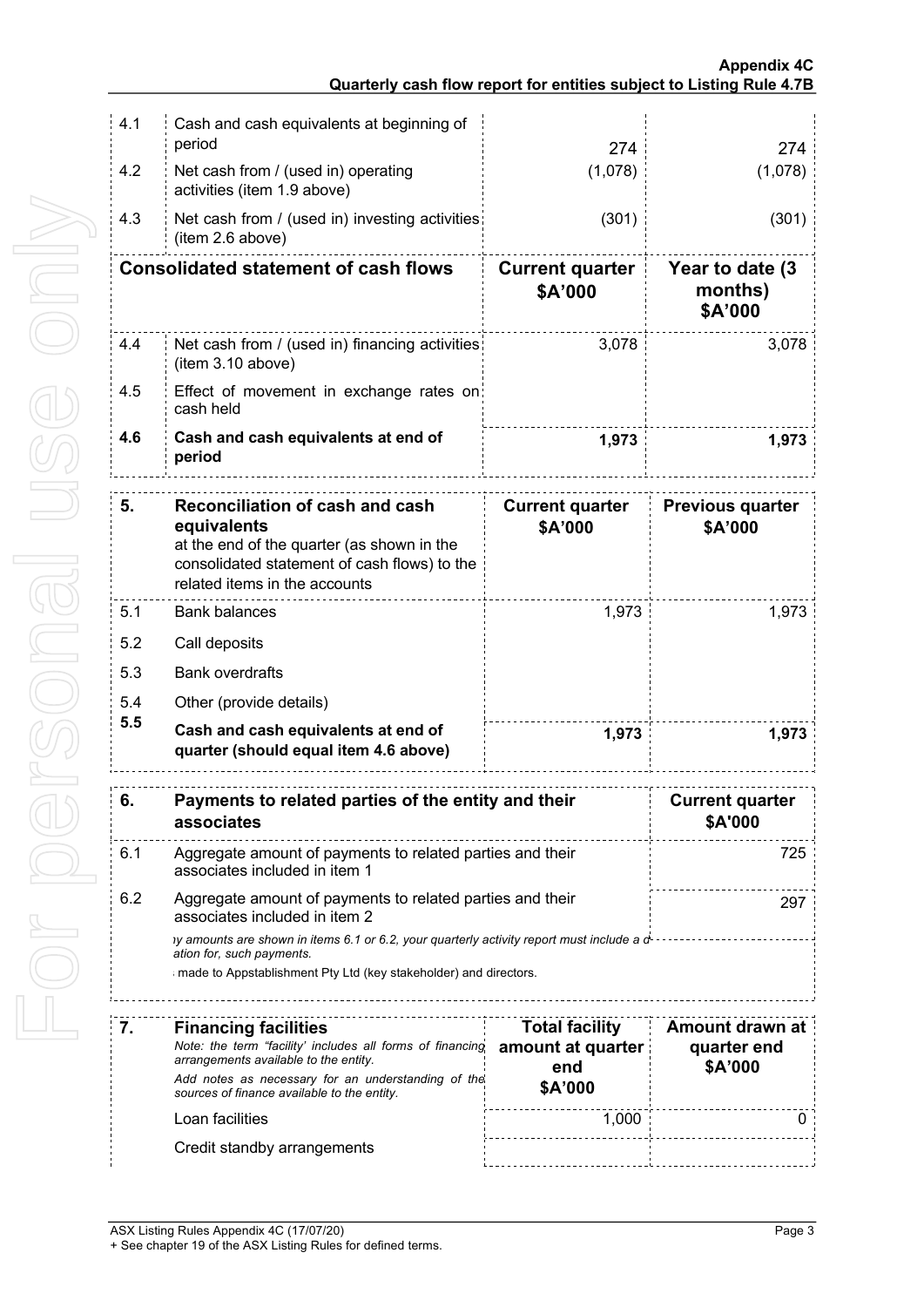| 4.1 | Cash and cash equivalents at beginning of                                                                                                                                                                     |                                   |                                        |
|-----|---------------------------------------------------------------------------------------------------------------------------------------------------------------------------------------------------------------|-----------------------------------|----------------------------------------|
|     | period<br>274<br>(1,078)                                                                                                                                                                                      |                                   | 274                                    |
| 4.2 | Net cash from / (used in) operating<br>activities (item 1.9 above)                                                                                                                                            | (1,078)                           |                                        |
| 4.3 | Net cash from / (used in) investing activities<br>(item 2.6 above)                                                                                                                                            | (301)                             | (301)                                  |
|     | <b>Consolidated statement of cash flows</b>                                                                                                                                                                   | <b>Current quarter</b><br>\$A'000 | Year to date (3)<br>months)<br>\$A'000 |
| 4.4 | Net cash from / (used in) financing activities<br>(item 3.10 above)                                                                                                                                           | 3,078                             |                                        |
| 4.5 | Effect of movement in exchange rates on:<br>cash held                                                                                                                                                         |                                   |                                        |
| 4.6 | Cash and cash equivalents at end of<br>1,973<br>period                                                                                                                                                        |                                   | 1,973                                  |
| 5.  | <b>Reconciliation of cash and cash</b><br>equivalents<br>at the end of the quarter (as shown in the<br>consolidated statement of cash flows) to the<br>related items in the accounts                          | <b>Current quarter</b><br>\$A'000 | <b>Previous quarter</b><br>\$A'000     |
| 5.1 | <b>Bank balances</b><br>1,973                                                                                                                                                                                 |                                   | 1,973                                  |
| 5.2 | Call deposits                                                                                                                                                                                                 |                                   |                                        |
| 5.3 | <b>Bank overdrafts</b>                                                                                                                                                                                        |                                   |                                        |
| 5.4 | Other (provide details)                                                                                                                                                                                       |                                   |                                        |
| 5.5 | Cash and cash equivalents at end of<br>1,973<br>quarter (should equal item 4.6 above)                                                                                                                         |                                   | 1,973                                  |
|     | Payments to related parties of the entity and their<br>associates                                                                                                                                             |                                   | <b>Current quarter</b><br>\$A'000      |
| 6.1 | Aggregate amount of payments to related parties and their<br>725<br>associates included in item 1                                                                                                             |                                   |                                        |
| 6.2 | Aggregate amount of payments to related parties and their<br>297<br>associates included in item 2                                                                                                             |                                   |                                        |
|     | iy amounts are shown in items 6.1 or 6.2, your quarterly activity report must include a d-------------------<br>ation for, such payments.<br>made to Appstablishment Pty Ltd (key stakeholder) and directors. |                                   |                                        |
| 7.  | <b>Financing facilities</b>                                                                                                                                                                                   | <b>Total facility</b>             | Amount drawn at                        |
|     | Note: the term "facility' includes all forms of financing<br>arrangements available to the entity.                                                                                                            | amount at quarter<br>end          | quarter end<br>\$A'000                 |
|     | Add notes as necessary for an understanding of the<br>sources of finance available to the entity.                                                                                                             | \$A'000                           |                                        |
|     | 1,000<br>Loan facilities                                                                                                                                                                                      |                                   | 0                                      |
|     | Credit standby arrangements                                                                                                                                                                                   |                                   |                                        |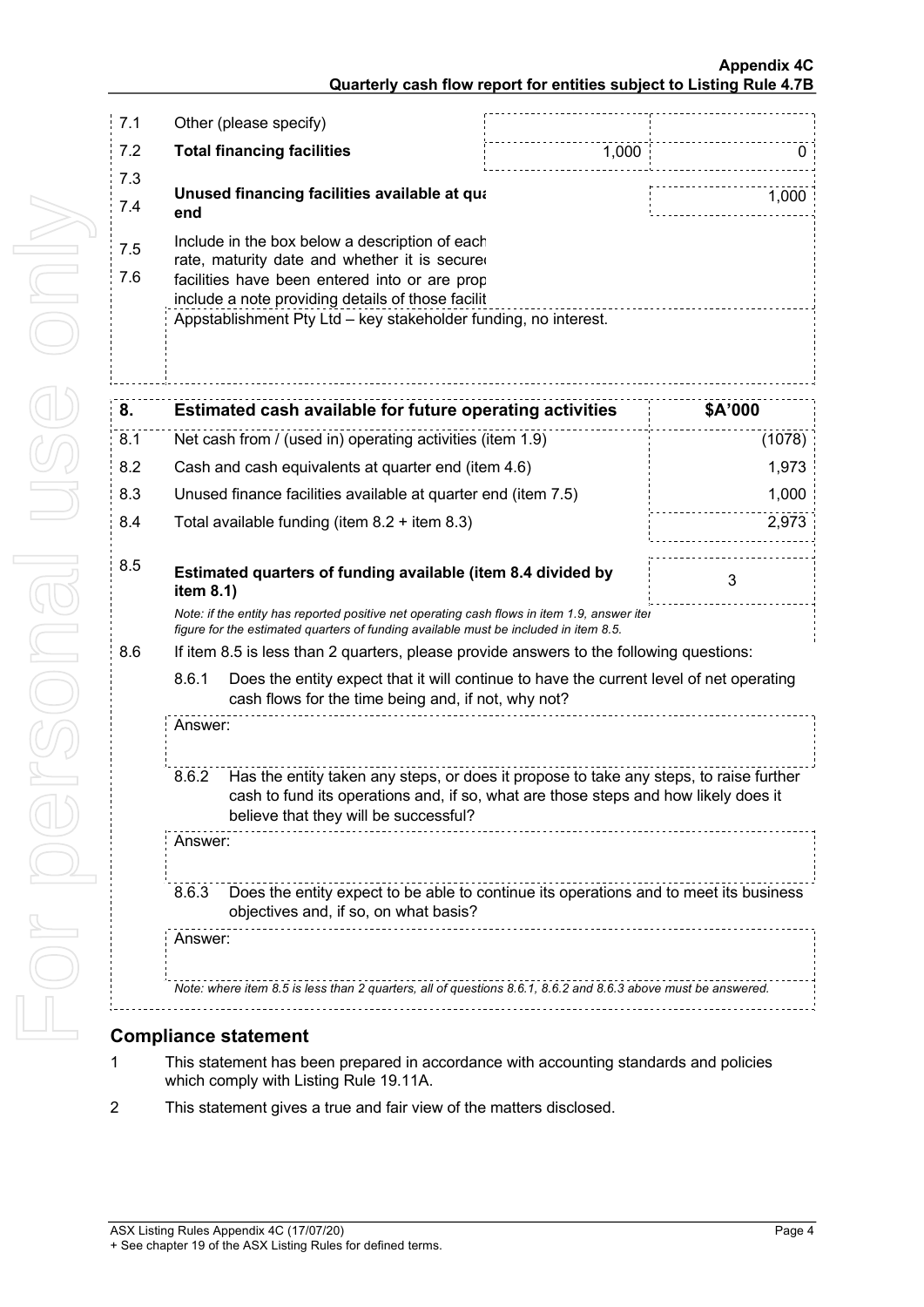#### **Appendix 4C Quarterly cash flow report for entities subject to Listing Rule 4.7B**

| 7.1        | Other (please specify)                                                                                                                                                                                                                                                   |                                                                                                                                                                                                                        |       |         |
|------------|--------------------------------------------------------------------------------------------------------------------------------------------------------------------------------------------------------------------------------------------------------------------------|------------------------------------------------------------------------------------------------------------------------------------------------------------------------------------------------------------------------|-------|---------|
| 7.2        | <b>Total financing facilities</b>                                                                                                                                                                                                                                        |                                                                                                                                                                                                                        | 1,000 | 0       |
| 7.3<br>7.4 | end                                                                                                                                                                                                                                                                      | Unused financing facilities available at qua                                                                                                                                                                           |       | 1,000   |
| 7.5<br>7.6 | Include in the box below a description of each<br>rate, maturity date and whether it is secured<br>facilities have been entered into or are prop<br>include a note providing details of those facilit<br>Appstablishment Pty Ltd - key stakeholder funding, no interest. |                                                                                                                                                                                                                        |       |         |
| 8.         |                                                                                                                                                                                                                                                                          | Estimated cash available for future operating activities                                                                                                                                                               |       | \$A'000 |
| 8.1        | Net cash from / (used in) operating activities (item 1.9)                                                                                                                                                                                                                |                                                                                                                                                                                                                        |       | (1078)  |
| 8.2        | Cash and cash equivalents at quarter end (item 4.6)                                                                                                                                                                                                                      |                                                                                                                                                                                                                        |       | 1,973   |
| 8.3        | Unused finance facilities available at quarter end (item 7.5)                                                                                                                                                                                                            |                                                                                                                                                                                                                        | 1,000 |         |
| 8.4        | Total available funding (item 8.2 + item 8.3)                                                                                                                                                                                                                            |                                                                                                                                                                                                                        | 2,973 |         |
| 8.5        | Estimated quarters of funding available (item 8.4 divided by<br>3<br>item 8.1)                                                                                                                                                                                           |                                                                                                                                                                                                                        |       |         |
|            | Note: if the entity has reported positive net operating cash flows in item 1.9, answer iter<br>figure for the estimated quarters of funding available must be included in item 8.5.                                                                                      |                                                                                                                                                                                                                        |       |         |
| 8.6        |                                                                                                                                                                                                                                                                          | If item 8.5 is less than 2 quarters, please provide answers to the following questions:                                                                                                                                |       |         |
|            | 8.6.1<br>Does the entity expect that it will continue to have the current level of net operating<br>cash flows for the time being and, if not, why not?                                                                                                                  |                                                                                                                                                                                                                        |       |         |
|            | Answer:                                                                                                                                                                                                                                                                  |                                                                                                                                                                                                                        |       |         |
|            | 8.6.2                                                                                                                                                                                                                                                                    | Has the entity taken any steps, or does it propose to take any steps, to raise further<br>cash to fund its operations and, if so, what are those steps and how likely does it<br>believe that they will be successful? |       |         |
|            | Answer:                                                                                                                                                                                                                                                                  |                                                                                                                                                                                                                        |       |         |
|            | 8.6.3                                                                                                                                                                                                                                                                    | Does the entity expect to be able to continue its operations and to meet its business<br>objectives and, if so, on what basis?                                                                                         |       |         |
|            | Answer:<br>Note: where item 8.5 is less than 2 quarters, all of questions 8.6.1, 8.6.2 and 8.6.3 above must be answered.                                                                                                                                                 |                                                                                                                                                                                                                        |       |         |
|            |                                                                                                                                                                                                                                                                          |                                                                                                                                                                                                                        |       |         |
|            |                                                                                                                                                                                                                                                                          |                                                                                                                                                                                                                        |       |         |

### **Compliance statement**

- 1 This statement has been prepared in accordance with accounting standards and policies which comply with Listing Rule 19.11A.
- 2 This statement gives a true and fair view of the matters disclosed.